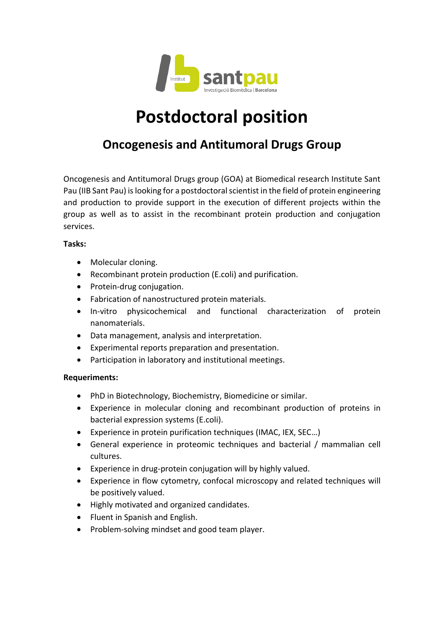

# **Postdoctoral position**

## **Oncogenesis and Antitumoral Drugs Group**

Oncogenesis and Antitumoral Drugs group (GOA) at Biomedical research Institute Sant Pau (IIB Sant Pau) is looking for a postdoctoral scientist in the field of protein engineering and production to provide support in the execution of different projects within the group as well as to assist in the recombinant protein production and conjugation services.

### **Tasks:**

- Molecular cloning.
- Recombinant protein production (E.coli) and purification.
- Protein-drug conjugation.
- Fabrication of nanostructured protein materials.
- In-vitro physicochemical and functional characterization of protein nanomaterials.
- Data management, analysis and interpretation.
- Experimental reports preparation and presentation.
- Participation in laboratory and institutional meetings.

### **Requeriments:**

- PhD in Biotechnology, Biochemistry, Biomedicine or similar.
- Experience in molecular cloning and recombinant production of proteins in bacterial expression systems (E.coli).
- Experience in protein purification techniques (IMAC, IEX, SEC…)
- General experience in proteomic techniques and bacterial / mammalian cell cultures.
- Experience in drug-protein conjugation will by highly valued.
- Experience in flow cytometry, confocal microscopy and related techniques will be positively valued.
- Highly motivated and organized candidates.
- Fluent in Spanish and English.
- Problem-solving mindset and good team player.